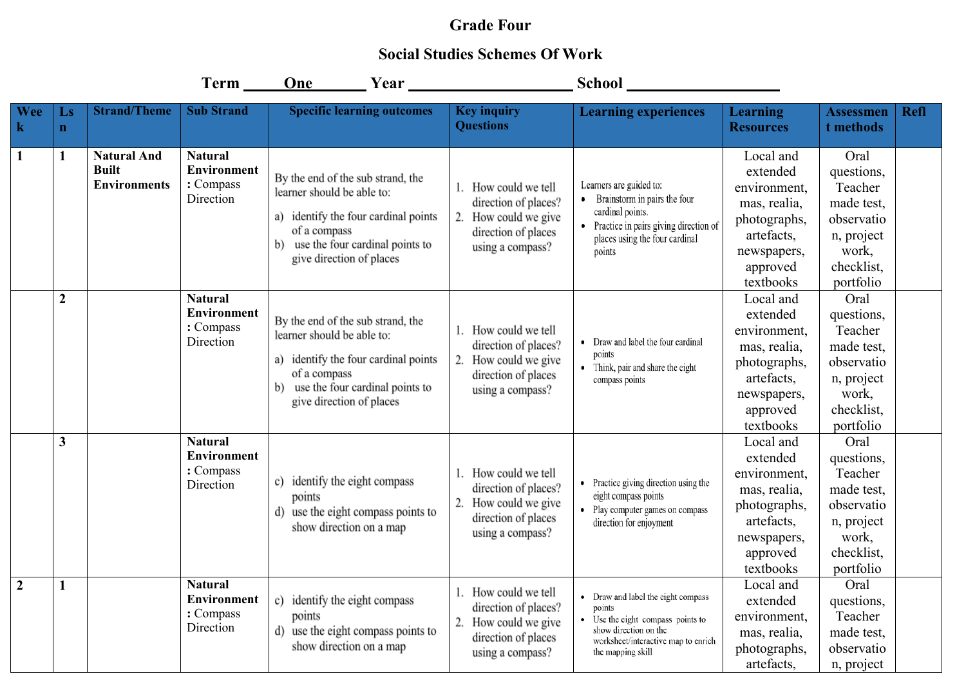## **Grade Four**

## **Social Studies Schemes Of Work**

|                       |                         |                                                           |                                                                | One Year                                                                                                                                                                                     |                                                                                                                 |                                                                                                                                                                      |                                                                                                                             |                                                                                                             |             |
|-----------------------|-------------------------|-----------------------------------------------------------|----------------------------------------------------------------|----------------------------------------------------------------------------------------------------------------------------------------------------------------------------------------------|-----------------------------------------------------------------------------------------------------------------|----------------------------------------------------------------------------------------------------------------------------------------------------------------------|-----------------------------------------------------------------------------------------------------------------------------|-------------------------------------------------------------------------------------------------------------|-------------|
| <b>Wee</b><br>$\bf k$ | Ls<br>$\mathbf{n}$      | <b>Strand/Theme</b>                                       | <b>Sub Strand</b>                                              | <b>Specific learning outcomes</b>                                                                                                                                                            | <b>Key inquiry</b><br><b>Questions</b>                                                                          | <b>Learning experiences</b>                                                                                                                                          | <b>Learning</b><br><b>Resources</b>                                                                                         | <b>Assessmen</b><br>t methods                                                                               | <b>Refl</b> |
| 1                     | $\mathbf{1}$            | <b>Natural And</b><br><b>Built</b><br><b>Environments</b> | <b>Natural</b><br><b>Environment</b><br>: Compass<br>Direction | By the end of the sub strand, the<br>learner should be able to:<br>a) identify the four cardinal points<br>of a compass<br>use the four cardinal points to<br>b)<br>give direction of places | 1. How could we tell<br>direction of places?<br>2. How could we give<br>direction of places<br>using a compass? | Learners are guided to:<br>Brainstorm in pairs the four<br>cardinal points.<br>• Practice in pairs giving direction of<br>places using the four cardinal<br>points   | Local and<br>extended<br>environment,<br>mas, realia,<br>photographs,<br>artefacts,<br>newspapers,<br>approved<br>textbooks | Oral<br>questions,<br>Teacher<br>made test,<br>observatio<br>n, project<br>work,<br>checklist.<br>portfolio |             |
|                       | $\boldsymbol{2}$        |                                                           | <b>Natural</b><br><b>Environment</b><br>: Compass<br>Direction | By the end of the sub strand, the<br>learner should be able to:<br>a) identify the four cardinal points<br>of a compass<br>use the four cardinal points to<br>b)<br>give direction of places | 1. How could we tell<br>direction of places?<br>2. How could we give<br>direction of places<br>using a compass? | • Draw and label the four cardinal<br>points<br>• Think, pair and share the eight<br>compass points                                                                  | Local and<br>extended<br>environment,<br>mas, realia,<br>photographs,<br>artefacts,<br>newspapers,<br>approved<br>textbooks | Oral<br>questions,<br>Teacher<br>made test,<br>observatio<br>n, project<br>work,<br>checklist.<br>portfolio |             |
|                       | $\overline{\mathbf{3}}$ |                                                           | <b>Natural</b><br><b>Environment</b><br>: Compass<br>Direction | identify the eight compass<br>c)<br>points<br>use the eight compass points to<br>d)<br>show direction on a map                                                                               | 1. How could we tell<br>direction of places?<br>2. How could we give<br>direction of places<br>using a compass? | • Practice giving direction using the<br>eight compass points<br>• Play computer games on compass<br>direction for enjoyment                                         | Local and<br>extended<br>environment,<br>mas, realia,<br>photographs,<br>artefacts,<br>newspapers,<br>approved<br>textbooks | Oral<br>questions,<br>Teacher<br>made test,<br>observatio<br>n, project<br>work,<br>checklist,<br>portfolio |             |
| $\boldsymbol{2}$      | 1                       |                                                           | <b>Natural</b><br><b>Environment</b><br>: Compass<br>Direction | c) identify the eight compass<br>points<br>d) use the eight compass points to<br>show direction on a map                                                                                     | 1. How could we tell<br>direction of places?<br>2. How could we give<br>direction of places<br>using a compass? | • Draw and label the eight compass<br>points<br>Use the eight compass points to<br>show direction on the<br>worksheet/interactive map to enrich<br>the mapping skill | Local and<br>extended<br>environment,<br>mas, realia,<br>photographs,<br>artefacts,                                         | Oral<br>questions,<br>Teacher<br>made test,<br>observatio<br>n, project                                     |             |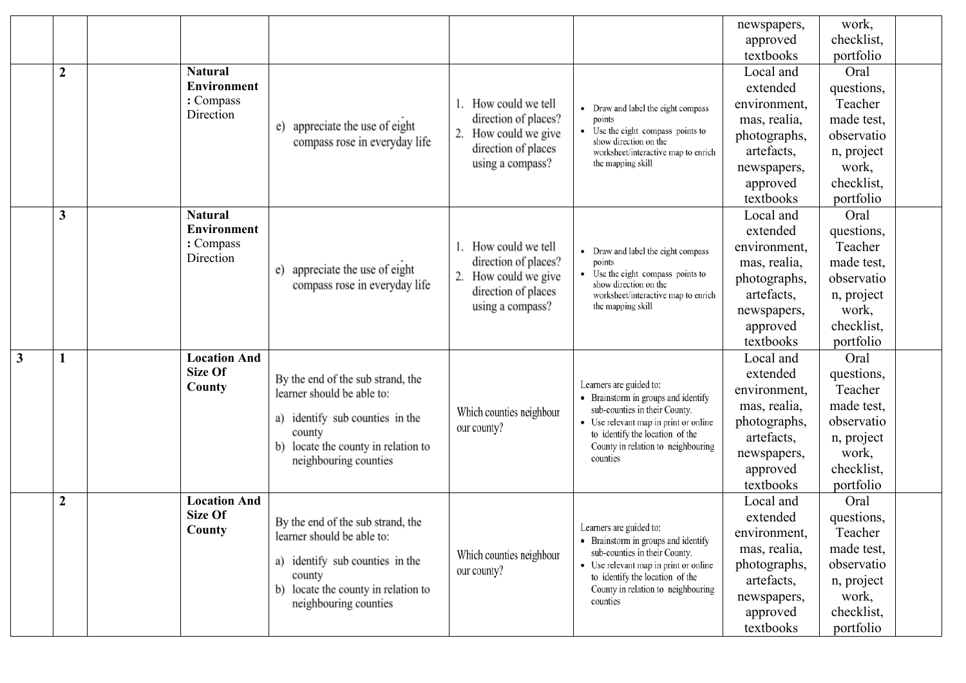|              |                  |                                |                                     |                                                                              |                                                                          | newspapers,                | work,               |  |
|--------------|------------------|--------------------------------|-------------------------------------|------------------------------------------------------------------------------|--------------------------------------------------------------------------|----------------------------|---------------------|--|
|              |                  |                                |                                     |                                                                              |                                                                          | approved                   | checklist,          |  |
|              |                  |                                |                                     |                                                                              |                                                                          | textbooks                  | portfolio           |  |
|              | $\boldsymbol{2}$ | <b>Natural</b>                 |                                     |                                                                              |                                                                          | Local and                  | Oral                |  |
|              |                  | Environment                    |                                     |                                                                              |                                                                          | extended                   | questions,          |  |
|              |                  | : Compass                      |                                     | . How could we tell                                                          | • Draw and label the eight compass                                       | environment,               | Teacher             |  |
|              |                  | Direction                      | appreciate the use of eight<br>e)   | direction of places?                                                         | points                                                                   | mas, realia,               | made test,          |  |
|              |                  |                                | compass rose in everyday life       | How could we give                                                            | Use the eight compass points to<br>show direction on the                 | photographs,               | observatio          |  |
|              |                  |                                |                                     | direction of places<br>using a compass?                                      | worksheet/interactive map to enrich<br>the mapping skill                 | artefacts,                 | n, project          |  |
|              |                  |                                |                                     |                                                                              |                                                                          | newspapers,                | work,               |  |
|              |                  |                                |                                     |                                                                              |                                                                          | approved                   | checklist,          |  |
|              |                  |                                |                                     |                                                                              |                                                                          | textbooks                  | portfolio           |  |
|              | $\mathbf{3}$     | <b>Natural</b>                 |                                     |                                                                              |                                                                          | Local and                  | Oral                |  |
|              |                  | Environment                    |                                     |                                                                              |                                                                          | extended                   | questions,          |  |
|              |                  | : Compass<br>Direction         |                                     | How could we tell                                                            | Draw and label the eight compass                                         | environment,               | Teacher             |  |
|              |                  |                                | appreciate the use of eight<br>e)   | direction of places?                                                         | points<br>• Use the eight compass points to                              | mas, realia,               | made test,          |  |
|              |                  |                                | compass rose in everyday life       | 2.<br>How could we give<br>direction of places                               | show direction on the                                                    | photographs,               | observatio          |  |
|              |                  |                                |                                     | worksheet/interactive map to enrich<br>using a compass?<br>the mapping skill | artefacts,                                                               | n, project                 |                     |  |
|              |                  |                                |                                     |                                                                              |                                                                          | newspapers,                | work,               |  |
|              |                  |                                |                                     |                                                                              |                                                                          | approved                   | checklist,          |  |
|              |                  |                                |                                     |                                                                              |                                                                          | textbooks                  | portfolio           |  |
| $\mathbf{3}$ |                  | <b>Location And</b><br>Size Of |                                     |                                                                              | Learners are guided to:                                                  | Local and                  | Oral                |  |
|              |                  | County                         | By the end of the sub strand, the   |                                                                              |                                                                          | extended                   | questions,          |  |
|              |                  |                                | learner should be able to:          |                                                                              | • Brainstorm in groups and identify                                      | environment,               | Teacher             |  |
|              |                  |                                | identify sub counties in the<br>a)  | Which counties neighbour                                                     | sub-counties in their County.                                            | mas, realia,               | made test,          |  |
|              |                  |                                | county                              | our county?                                                                  | • Use relevant map in print or online<br>to identify the location of the | photographs,<br>artefacts, | observatio          |  |
|              |                  |                                | locate the county in relation to    |                                                                              | County in relation to neighbouring                                       |                            | n, project<br>work, |  |
|              |                  |                                | neighbouring counties               |                                                                              | counties                                                                 | newspapers,<br>approved    | checklist,          |  |
|              |                  |                                |                                     |                                                                              |                                                                          | textbooks                  | portfolio           |  |
|              | $\boldsymbol{2}$ | <b>Location And</b>            |                                     |                                                                              |                                                                          | Local and                  | Oral                |  |
|              |                  | Size Of                        |                                     |                                                                              |                                                                          | extended                   | questions,          |  |
|              |                  | County                         | By the end of the sub strand, the   |                                                                              | Learners are guided to:                                                  | environment,               | Teacher             |  |
|              |                  |                                | learner should be able to:          |                                                                              | • Brainstorm in groups and identify                                      | mas, realia,               | made test,          |  |
|              |                  |                                | identify sub counties in the<br>a)  | Which counties neighbour                                                     | sub-counties in their County.<br>• Use relevant map in print or online   | photographs,               | observatio          |  |
|              |                  |                                | county                              | our county?                                                                  | to identify the location of the                                          | artefacts,                 | n, project          |  |
|              |                  |                                | b) locate the county in relation to |                                                                              | County in relation to neighbouring<br>counties                           | newspapers,                | work,               |  |
|              |                  |                                | neighbouring counties               |                                                                              |                                                                          | approved                   | checklist,          |  |
|              |                  |                                |                                     |                                                                              |                                                                          | textbooks                  | portfolio           |  |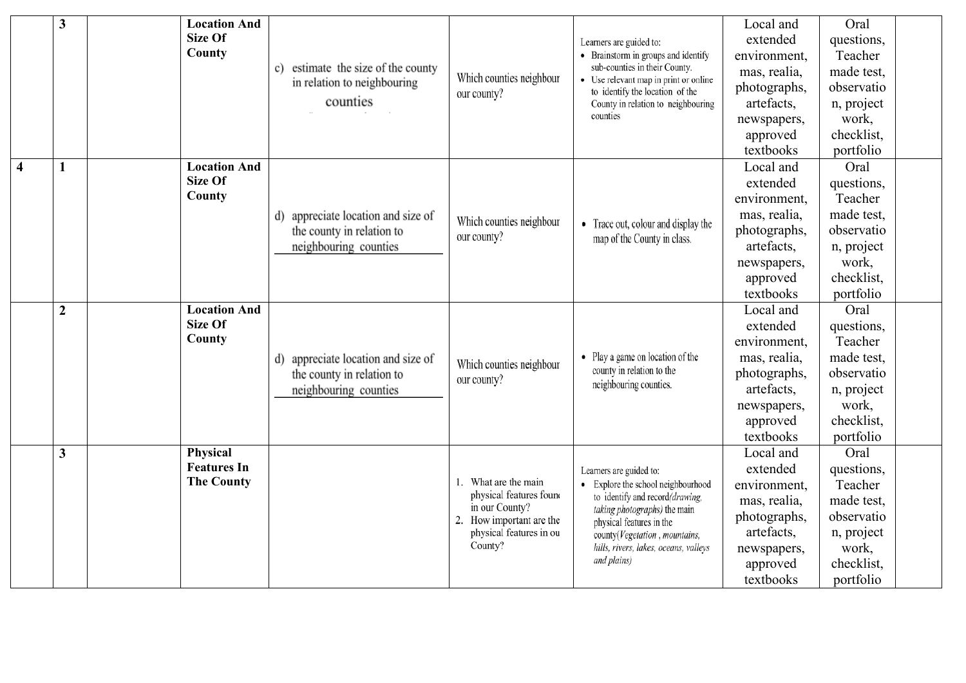|                | 3                       |  | <b>Location And</b>                   |                                       |                                              |                                                                        | Local and    | Oral       |  |
|----------------|-------------------------|--|---------------------------------------|---------------------------------------|----------------------------------------------|------------------------------------------------------------------------|--------------|------------|--|
|                |                         |  | Size Of                               |                                       |                                              | Learners are guided to:                                                | extended     | questions, |  |
|                |                         |  | County                                |                                       |                                              | • Brainstorm in groups and identify                                    | environment, | Teacher    |  |
|                |                         |  |                                       | estimate the size of the county<br>c) | Which counties neighbour                     | sub-counties in their County.<br>• Use relevant map in print or online | mas, realia, | made test, |  |
|                |                         |  |                                       | in relation to neighbouring           | our county?                                  | to identify the location of the                                        | photographs, | observatio |  |
|                |                         |  |                                       | counties                              |                                              | County in relation to neighbouring<br>counties                         | artefacts,   | n, project |  |
|                |                         |  |                                       |                                       |                                              |                                                                        | newspapers,  | work,      |  |
|                |                         |  |                                       |                                       |                                              |                                                                        | approved     | checklist, |  |
|                |                         |  |                                       |                                       |                                              |                                                                        | textbooks    | portfolio  |  |
| $\overline{4}$ | 1                       |  | <b>Location And</b>                   |                                       |                                              |                                                                        | Local and    | Oral       |  |
|                |                         |  | Size Of                               |                                       |                                              |                                                                        | extended     | questions, |  |
|                |                         |  | County                                |                                       |                                              |                                                                        | environment, | Teacher    |  |
|                |                         |  | appreciate location and size of<br>d) | Which counties neighbour              | • Trace out, colour and display the          | mas, realia,                                                           | made test,   |            |  |
|                |                         |  |                                       | the county in relation to             | our county?                                  | map of the County in class.                                            | photographs, | observatio |  |
|                |                         |  |                                       | neighbouring counties                 |                                              |                                                                        | artefacts,   | n, project |  |
|                |                         |  |                                       |                                       |                                              |                                                                        | newspapers,  | work,      |  |
|                |                         |  |                                       |                                       |                                              |                                                                        | approved     | checklist, |  |
|                |                         |  |                                       |                                       |                                              |                                                                        | textbooks    | portfolio  |  |
|                | $\boldsymbol{2}$        |  | <b>Location And</b>                   |                                       |                                              |                                                                        | Local and    | Oral       |  |
|                |                         |  | Size Of                               |                                       |                                              |                                                                        | extended     | questions, |  |
|                |                         |  | County                                |                                       |                                              |                                                                        | environment, | Teacher    |  |
|                |                         |  |                                       | d) appreciate location and size of    | Which counties neighbour                     | • Play a game on location of the                                       | mas, realia, | made test, |  |
|                |                         |  |                                       | the county in relation to             | our county?                                  | county in relation to the<br>neighbouring counties.                    | photographs, | observatio |  |
|                |                         |  |                                       | neighbouring counties                 |                                              |                                                                        | artefacts,   | n, project |  |
|                |                         |  |                                       |                                       |                                              |                                                                        | newspapers,  | work,      |  |
|                |                         |  |                                       |                                       |                                              |                                                                        | approved     | checklist, |  |
|                |                         |  |                                       |                                       |                                              |                                                                        | textbooks    | portfolio  |  |
|                | $\overline{\mathbf{3}}$ |  | Physical<br><b>Features In</b>        |                                       |                                              |                                                                        | Local and    | Oral       |  |
|                |                         |  | <b>The County</b>                     |                                       |                                              | Learners are guided to:                                                | extended     | questions, |  |
|                |                         |  |                                       |                                       | What are the main<br>physical features found | • Explore the school neighbourhood<br>to identify and record(drawing,  | environment, | Teacher    |  |
|                |                         |  |                                       |                                       | in our County?                               | taking photographs) the main                                           | mas, realia, | made test, |  |
|                |                         |  |                                       |                                       | How important are the<br>2.                  | physical features in the                                               | photographs, | observatio |  |
|                |                         |  |                                       |                                       | physical features in ou                      | county(Vegetation, mountains,                                          | artefacts,   | n, project |  |
|                |                         |  |                                       |                                       | County?                                      | hills, rivers, lakes, oceans, valleys                                  | newspapers,  | work,      |  |
|                |                         |  |                                       |                                       |                                              | and plains)                                                            | approved     | checklist, |  |
|                |                         |  |                                       |                                       |                                              |                                                                        | textbooks    | portfolio  |  |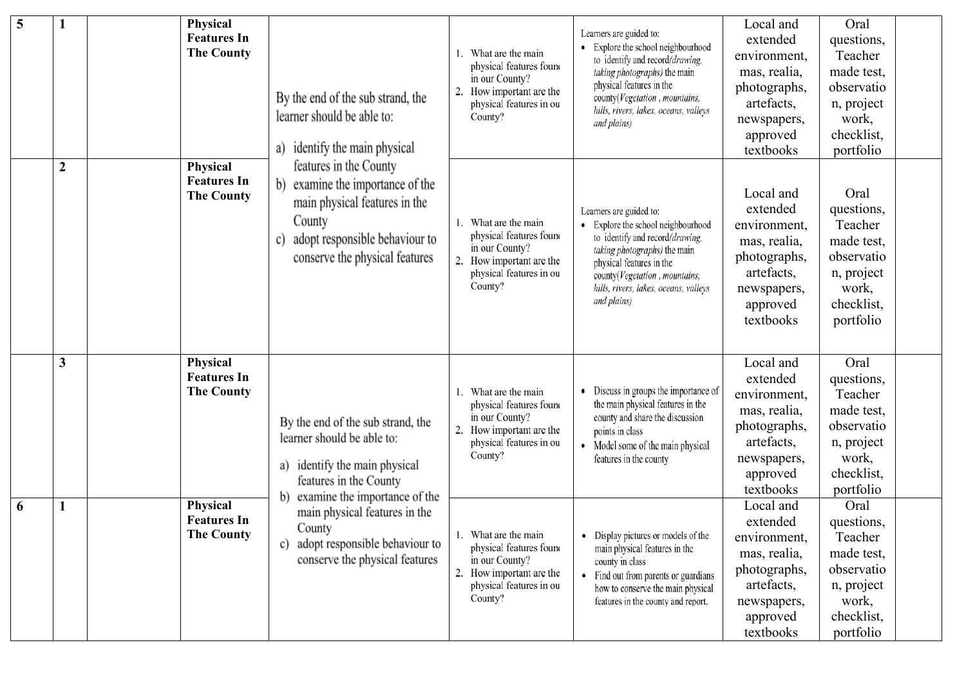| 5 |              | <b>Physical</b><br><b>Features In</b><br><b>The County</b> | By the end of the sub strand, the<br>learner should be able to:<br>identify the main physical<br>a)                                                                                                                                                                                                       | What are the main<br>physical features found<br>in our County?<br>How important are the<br>2.<br>physical features in ou<br>County? | Learners are guided to:<br>Explore the school neighbourhood<br>to identify and record(drawing,<br>taking photographs) the main<br>physical features in the<br>county(Vegetation, mountains,<br>hills, rivers, lakes, oceans, valleys<br>and plains) | Local and<br>extended<br>environment,<br>mas, realia,<br>photographs,<br>artefacts,<br>newspapers,<br>approved<br>textbooks | Oral<br>questions,<br>Teacher<br>made test,<br>observatio<br>n, project<br>work,<br>checklist,<br>portfolio |  |
|---|--------------|------------------------------------------------------------|-----------------------------------------------------------------------------------------------------------------------------------------------------------------------------------------------------------------------------------------------------------------------------------------------------------|-------------------------------------------------------------------------------------------------------------------------------------|-----------------------------------------------------------------------------------------------------------------------------------------------------------------------------------------------------------------------------------------------------|-----------------------------------------------------------------------------------------------------------------------------|-------------------------------------------------------------------------------------------------------------|--|
|   | $\mathbf{2}$ | Physical<br><b>Features In</b><br><b>The County</b>        | features in the County<br>examine the importance of the<br>b)<br>main physical features in the<br>County<br>adopt responsible behaviour to<br>C)<br>conserve the physical features                                                                                                                        | What are the main<br>physical features found<br>in our County?<br>2.<br>How important are the<br>physical features in ou<br>County? | Learners are guided to:<br>Explore the school neighbourhood<br>to identify and record(drawing,<br>taking photographs) the main<br>physical features in the<br>county(Vegetation, mountains,<br>hills, rivers, lakes, oceans, valleys<br>and plains) | Local and<br>extended<br>environment,<br>mas, realia,<br>photographs,<br>artefacts,<br>newspapers,<br>approved<br>textbooks | Oral<br>questions,<br>Teacher<br>made test,<br>observatio<br>n, project<br>work,<br>checklist,<br>portfolio |  |
|   | 3            | Physical<br><b>Features In</b><br><b>The County</b>        | By the end of the sub strand, the<br>2.<br>learner should be able to:<br>identify the main physical<br>a)<br>features in the County<br>examine the importance of the<br>$\mathbf{b}$<br>main physical features in the<br>County<br>adopt responsible behaviour to<br>conserve the physical features<br>2. | What are the main<br>physical features found<br>in our County?<br>How important are the<br>physical features in ou<br>County?       | Discuss in groups the importance of<br>the main physical features in the<br>county and share the discussion<br>points in class<br>Model some of the main physical<br>٠<br>features in the county                                                    | Local and<br>extended<br>environment,<br>mas, realia,<br>photographs,<br>artefacts,<br>newspapers,<br>approved<br>textbooks | Oral<br>questions,<br>Teacher<br>made test,<br>observatio<br>n, project<br>work,<br>checklist,<br>portfolio |  |
| 6 |              | Physical<br><b>Features In</b><br><b>The County</b>        |                                                                                                                                                                                                                                                                                                           | What are the main<br>physical features found<br>in our County?<br>How important are the<br>physical features in ou<br>County?       | Display pictures or models of the<br>٠<br>main physical features in the<br>county in class<br>Find out from parents or guardians<br>how to conserve the main physical<br>features in the county and report.                                         | Local and<br>extended<br>environment,<br>mas, realia,<br>photographs,<br>artefacts,<br>newspapers,<br>approved<br>textbooks | Oral<br>questions,<br>Teacher<br>made test,<br>observatio<br>n, project<br>work,<br>checklist,<br>portfolio |  |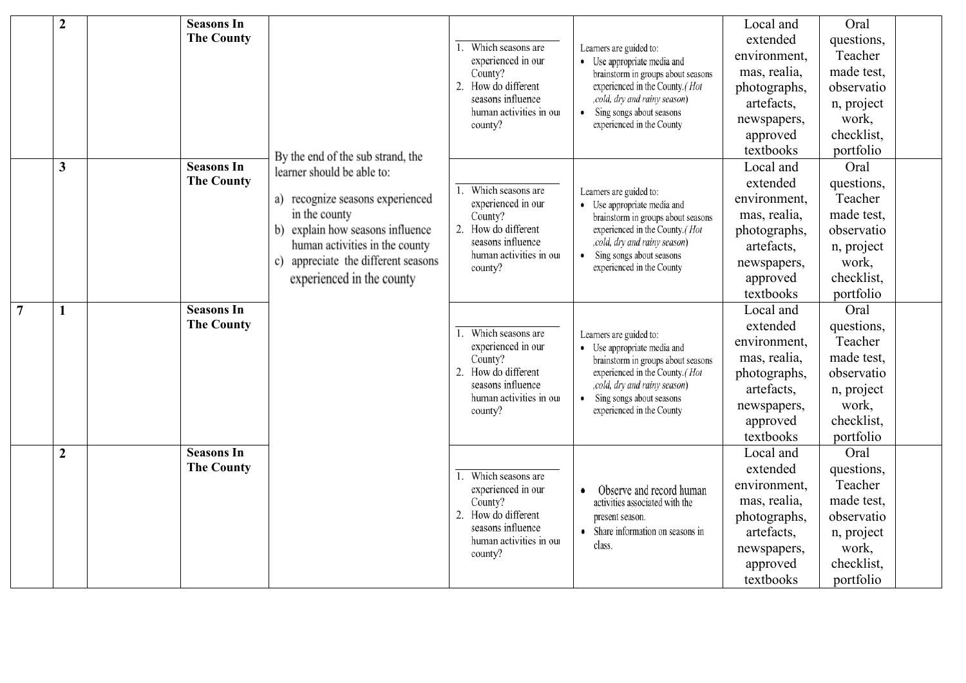|                | $\overline{2}$ | <b>Seasons In</b> |                                                                  |                                              |                                                                        | Local and    | Oral       |  |
|----------------|----------------|-------------------|------------------------------------------------------------------|----------------------------------------------|------------------------------------------------------------------------|--------------|------------|--|
|                |                | <b>The County</b> |                                                                  | Which seasons are<br>1.                      | Learners are guided to:                                                | extended     | questions, |  |
|                |                |                   |                                                                  | experienced in our                           | • Use appropriate media and                                            | environment, | Teacher    |  |
|                |                |                   |                                                                  | County?                                      | brainstorm in groups about seasons                                     | mas, realia, | made test, |  |
|                |                |                   |                                                                  | 2. How do different                          | experienced in the County. (Hot                                        | photographs, | observatio |  |
|                |                |                   |                                                                  | seasons influence<br>human activities in our | ,cold, dry and rainy season)<br>Sing songs about seasons<br>٠          | artefacts,   | n, project |  |
|                |                |                   |                                                                  | county?                                      | experienced in the County                                              | newspapers,  | work,      |  |
|                |                |                   |                                                                  |                                              |                                                                        | approved     | checklist, |  |
|                |                |                   | By the end of the sub strand, the                                |                                              |                                                                        | textbooks    | portfolio  |  |
|                | $\overline{3}$ | <b>Seasons In</b> | learner should be able to:                                       |                                              |                                                                        | Local and    | Oral       |  |
|                |                | <b>The County</b> |                                                                  | Which seasons are<br>1.                      | Learners are guided to:                                                | extended     | questions, |  |
|                |                |                   | a) recognize seasons experienced                                 | experienced in our                           | • Use appropriate media and                                            | environment, | Teacher    |  |
|                |                | in the county     | County?                                                          | brainstorm in groups about seasons           | mas, realia,                                                           | made test,   |            |  |
|                |                |                   | b) explain how seasons influence                                 | 2.<br>How do different                       | experienced in the County. (Hot                                        | photographs, | observatio |  |
|                |                |                   | human activities in the county                                   | seasons influence<br>human activities in our | , cold, dry and rainy season)<br>Sing songs about seasons<br>$\bullet$ | artefacts,   | n, project |  |
|                |                |                   | c) appreciate the different seasons<br>experienced in the county | county?                                      | experienced in the County                                              | newspapers,  | work,      |  |
|                |                |                   |                                                                  |                                              |                                                                        | approved     | checklist, |  |
|                |                |                   |                                                                  |                                              |                                                                        | textbooks    | portfolio  |  |
| $\overline{7}$ | $\mathbf{1}$   | <b>Seasons In</b> |                                                                  |                                              |                                                                        | Local and    | Oral       |  |
|                |                | <b>The County</b> |                                                                  | Which seasons are                            | Learners are guided to:                                                | extended     | questions, |  |
|                |                |                   |                                                                  | experienced in our                           | • Use appropriate media and                                            | environment, | Teacher    |  |
|                |                |                   |                                                                  | County?                                      | brainstorm in groups about seasons                                     | mas, realia, | made test, |  |
|                |                |                   |                                                                  | How do different<br>2.                       | experienced in the County.(Hot                                         | photographs, | observatio |  |
|                |                |                   |                                                                  | seasons influence<br>human activities in our | , cold, dry and rainy season)<br>Sing songs about seasons              | artefacts,   | n, project |  |
|                |                |                   |                                                                  | county?                                      | experienced in the County                                              | newspapers,  | work,      |  |
|                |                |                   |                                                                  |                                              |                                                                        | approved     | checklist, |  |
|                |                |                   |                                                                  |                                              |                                                                        | textbooks    | portfolio  |  |
|                | $\overline{2}$ | <b>Seasons In</b> |                                                                  |                                              |                                                                        | Local and    | Oral       |  |
|                |                | <b>The County</b> |                                                                  | Which seasons are<br>1.                      |                                                                        | extended     | questions, |  |
|                |                |                   |                                                                  | experienced in our                           | Observe and record human                                               | environment, | Teacher    |  |
|                |                |                   |                                                                  | County?                                      | activities associated with the                                         | mas, realia, | made test, |  |
|                |                |                   |                                                                  | 2. How do different                          | present season.                                                        | photographs, | observatio |  |
|                |                |                   |                                                                  | seasons influence<br>human activities in our | Share information on seasons in                                        | artefacts,   | n, project |  |
|                |                |                   | county?                                                          | class.                                       | newspapers,                                                            | work,        |            |  |
|                |                |                   |                                                                  |                                              |                                                                        | approved     | checklist, |  |
|                |                |                   |                                                                  |                                              |                                                                        | textbooks    | portfolio  |  |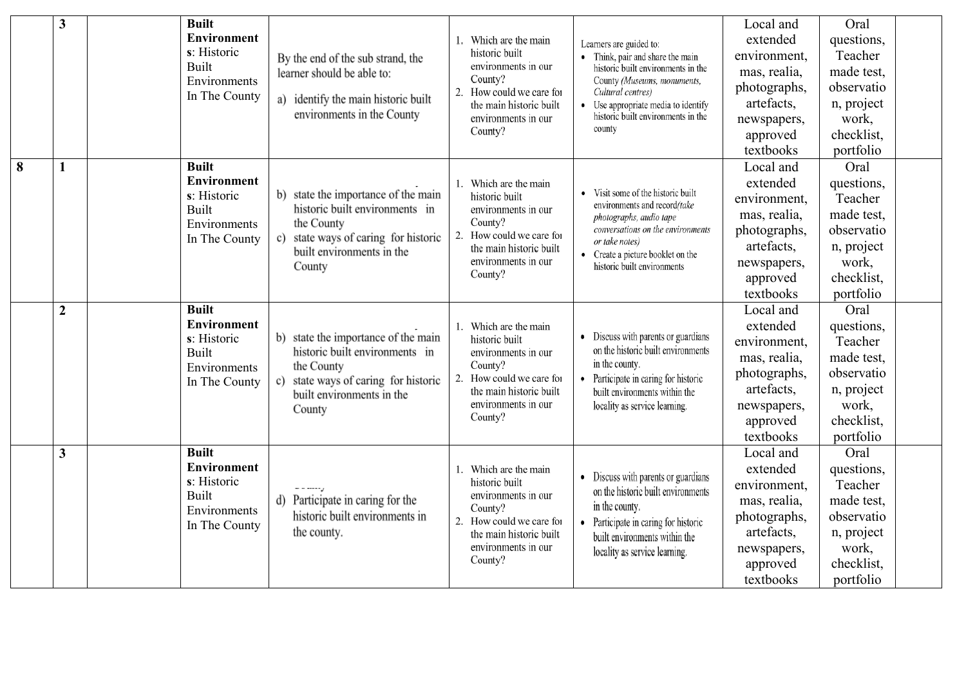|   | $\mathbf{3}$            | <b>Built</b><br>Built | <b>Environment</b><br>s: Historic<br>Environments<br>In The County | By the end of the sub strand, the<br>learner should be able to:<br>a) identify the main historic built<br>environments in the County                                              | 1. Which are the main<br>historic built<br>environments in our<br>County?<br>2.<br>How could we care for<br>the main historic built<br>environments in our<br>County? | Learners are guided to:<br>• Think, pair and share the main<br>historic built environments in the<br>County (Museums, monuments,<br>Cultural centres)<br>Use appropriate media to identify<br>historic built environments in the<br>county | Local and<br>extended<br>environment,<br>mas, realia,<br>photographs,<br>artefacts,<br>newspapers,<br>approved<br>textbooks | Oral<br>questions,<br>Teacher<br>made test,<br>observatio<br>n, project<br>work,<br>checklist,<br>portfolio |
|---|-------------------------|-----------------------|--------------------------------------------------------------------|-----------------------------------------------------------------------------------------------------------------------------------------------------------------------------------|-----------------------------------------------------------------------------------------------------------------------------------------------------------------------|--------------------------------------------------------------------------------------------------------------------------------------------------------------------------------------------------------------------------------------------|-----------------------------------------------------------------------------------------------------------------------------|-------------------------------------------------------------------------------------------------------------|
| 8 | 1                       | <b>Built</b><br>Built | <b>Environment</b><br>s: Historic<br>Environments<br>In The County | state the importance of the main<br>historic built environments in<br>the County<br>state ways of caring for historic<br>c)<br>built environments in the<br>County                | Which are the main<br>historic built<br>environments in our<br>County?<br>2.<br>How could we care for<br>the main historic built<br>environments in our<br>County?    | Visit some of the historic built<br>environments and record/take<br>photographs, audio tape<br>conversations on the environments<br>or take notes)<br>• Create a picture booklet on the<br>historic built environments                     | Local and<br>extended<br>environment,<br>mas, realia,<br>photographs,<br>artefacts,<br>newspapers,<br>approved<br>textbooks | Oral<br>questions,<br>Teacher<br>made test,<br>observatio<br>n, project<br>work,<br>checklist,<br>portfolio |
|   | $\overline{2}$          | <b>Built</b><br>Built | <b>Environment</b><br>s: Historic<br>Environments<br>In The County | b) state the importance of the main<br>historic built environments in<br>the County<br>state ways of caring for historic<br>$\mathbf{c}$ )<br>built environments in the<br>County | Which are the main<br>historic built<br>environments in our<br>County?<br>How could we care for<br>2.<br>the main historic built<br>environments in our<br>County?    | Discuss with parents or guardians<br>on the historic built environments<br>in the county.<br>Participate in caring for historic<br>built environments within the<br>locality as service learning.                                          | Local and<br>extended<br>environment,<br>mas, realia,<br>photographs,<br>artefacts,<br>newspapers,<br>approved<br>textbooks | Oral<br>questions,<br>Teacher<br>made test,<br>observatio<br>n, project<br>work,<br>checklist,<br>portfolio |
|   | $\overline{\mathbf{3}}$ | <b>Built</b><br>Built | <b>Environment</b><br>s: Historic<br>Environments<br>In The County | d) Participate in caring for the<br>historic built environments in<br>the county.                                                                                                 | Which are the main<br>historic built<br>environments in our<br>County?<br>2.<br>How could we care for<br>the main historic built<br>environments in our<br>County?    | • Discuss with parents or guardians<br>on the historic built environments<br>in the county.<br>Participate in caring for historic<br>built environments within the<br>locality as service learning.                                        | Local and<br>extended<br>environment,<br>mas, realia,<br>photographs,<br>artefacts,<br>newspapers,<br>approved<br>textbooks | Oral<br>questions,<br>Teacher<br>made test,<br>observatio<br>n, project<br>work,<br>checklist,<br>portfolio |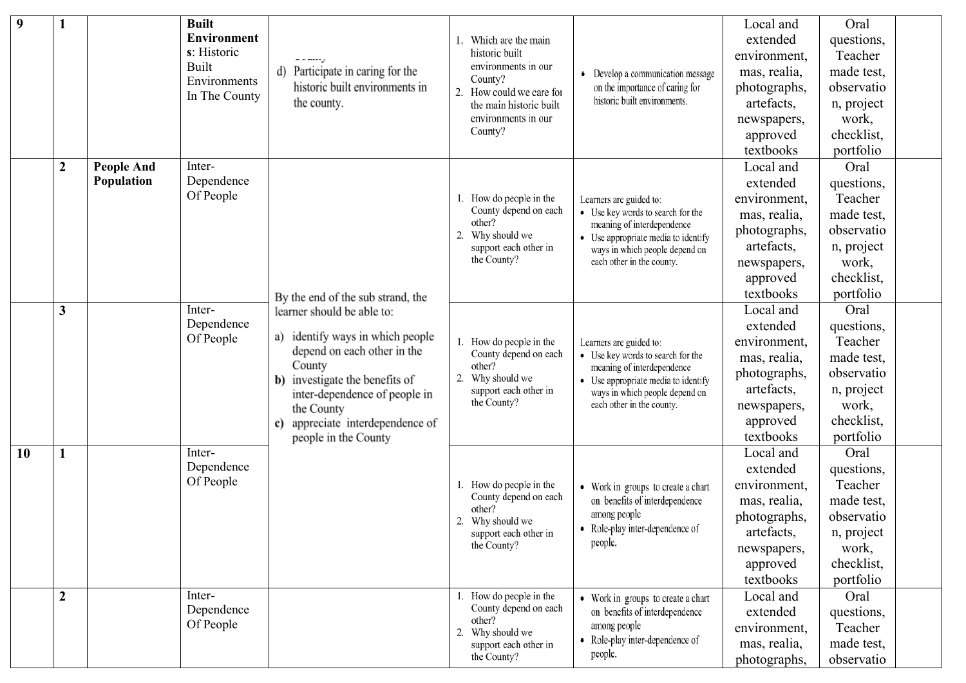| 9         |                  |                                 | <b>Built</b><br><b>Environment</b><br>s: Historic<br>Built<br>Environments<br>In The County | - - -----<br>Participate in caring for the<br>d)<br>historic built environments in<br>the county.                                                                                                                                                             | Which are the main<br>historic built<br>environments in our<br>County?<br>How could we care for<br>2.<br>the main historic built<br>environments in our<br>County? | Develop a communication message<br>on the importance of caring for<br>historic built environments.                                                                                               | Local and<br>extended<br>environment,<br>mas, realia,<br>photographs,<br>artefacts,<br>newspapers,<br>approved<br>textbooks | Oral<br>questions,<br>Teacher<br>made test,<br>observatio<br>n, project<br>work,<br>checklist,<br>portfolio |  |
|-----------|------------------|---------------------------------|---------------------------------------------------------------------------------------------|---------------------------------------------------------------------------------------------------------------------------------------------------------------------------------------------------------------------------------------------------------------|--------------------------------------------------------------------------------------------------------------------------------------------------------------------|--------------------------------------------------------------------------------------------------------------------------------------------------------------------------------------------------|-----------------------------------------------------------------------------------------------------------------------------|-------------------------------------------------------------------------------------------------------------|--|
|           | $\boldsymbol{2}$ | <b>People And</b><br>Population | Inter-<br>Dependence<br>Of People                                                           | By the end of the sub strand, the                                                                                                                                                                                                                             | How do people in the<br>County depend on each<br>other?<br>2. Why should we<br>support each other in<br>the County?                                                | Learners are guided to:<br>• Use key words to search for the<br>meaning of interdependence<br>• Use appropriate media to identify<br>ways in which people depend on<br>each other in the county. | Local and<br>extended<br>environment,<br>mas, realia,<br>photographs,<br>artefacts,<br>newspapers,<br>approved<br>textbooks | Oral<br>questions,<br>Teacher<br>made test,<br>observatio<br>n, project<br>work,<br>checklist,<br>portfolio |  |
|           | 3                |                                 | Inter-<br>Dependence<br>Of People                                                           | learner should be able to:<br>identify ways in which people<br>a)<br>depend on each other in the<br>County<br>investigate the benefits of<br>b)<br>inter-dependence of people in<br>the County<br>appreciate interdependence of<br>c)<br>people in the County | 1. How do people in the<br>County depend on each<br>other?<br>2.<br>Why should we<br>support each other in<br>the County?                                          | Learners are guided to:<br>• Use key words to search for the<br>meaning of interdependence<br>• Use appropriate media to identify<br>ways in which people depend on<br>each other in the county. | Local and<br>extended<br>environment,<br>mas, realia,<br>photographs,<br>artefacts,<br>newspapers,<br>approved<br>textbooks | Oral<br>questions,<br>Teacher<br>made test,<br>observatio<br>n, project<br>work,<br>checklist,<br>portfolio |  |
| <b>10</b> |                  |                                 | Inter-<br>Dependence<br>Of People                                                           |                                                                                                                                                                                                                                                               | 1. How do people in the<br>County depend on each<br>other?<br>2. Why should we<br>support each other in<br>the County?                                             | • Work in groups to create a chart<br>on benefits of interdependence<br>among people<br>• Role-play inter-dependence of<br>people.                                                               | Local and<br>extended<br>environment,<br>mas, realia,<br>photographs,<br>artefacts,<br>newspapers,<br>approved<br>textbooks | Oral<br>questions,<br>Teacher<br>made test,<br>observatio<br>n, project<br>work,<br>checklist,<br>portfolio |  |
|           | $\boldsymbol{2}$ |                                 | Inter-<br>Dependence<br>Of People                                                           |                                                                                                                                                                                                                                                               | 1. How do people in the<br>County depend on each<br>other?<br>Why should we<br>2.<br>support each other in<br>the County?                                          | • Work in groups to create a chart<br>on benefits of interdependence<br>among people<br>• Role-play inter-dependence of<br>people.                                                               | Local and<br>extended<br>environment,<br>mas, realia,<br>photographs,                                                       | Oral<br>questions,<br>Teacher<br>made test,<br>observatio                                                   |  |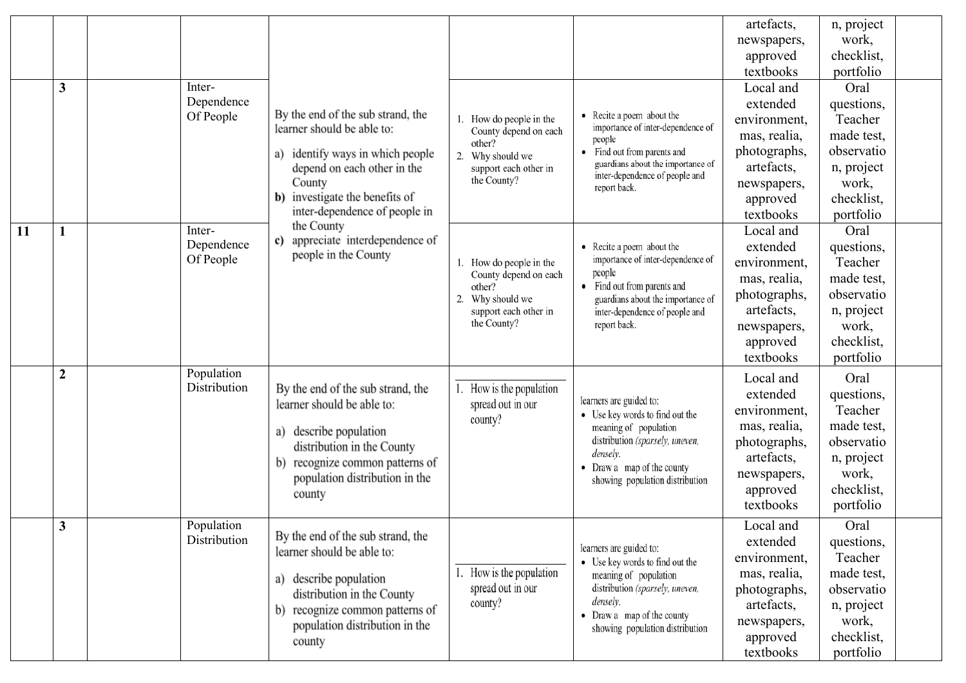|    |                  |                            |                                                   |                                                                                   |                                                                                                                                                                                           | artefacts,       | n, project |  |
|----|------------------|----------------------------|---------------------------------------------------|-----------------------------------------------------------------------------------|-------------------------------------------------------------------------------------------------------------------------------------------------------------------------------------------|------------------|------------|--|
|    |                  |                            |                                                   |                                                                                   |                                                                                                                                                                                           | newspapers,      | work,      |  |
|    |                  |                            |                                                   |                                                                                   |                                                                                                                                                                                           | approved         | checklist, |  |
|    |                  |                            |                                                   |                                                                                   |                                                                                                                                                                                           | textbooks        | portfolio  |  |
|    | $\mathbf{3}$     | Inter-                     |                                                   |                                                                                   | • Recite a poem about the<br>importance of inter-dependence of<br>people<br>Find out from parents and<br>$\bullet$<br>guardians about the importance of<br>inter-dependence of people and | Local and        | Oral       |  |
|    |                  | Dependence                 |                                                   | 1. How do people in the<br>County depend on each<br>other?<br>2. Why should we    |                                                                                                                                                                                           | extended         | questions, |  |
|    |                  | Of People                  | By the end of the sub strand, the                 |                                                                                   |                                                                                                                                                                                           | environment,     | Teacher    |  |
|    |                  |                            | learner should be able to:                        |                                                                                   |                                                                                                                                                                                           | mas, realia,     | made test, |  |
|    |                  |                            | identify ways in which people<br>a)               |                                                                                   |                                                                                                                                                                                           | photographs,     | observatio |  |
|    |                  |                            | depend on each other in the                       | support each other in                                                             |                                                                                                                                                                                           | artefacts,       | n, project |  |
|    |                  |                            | County                                            | the County?                                                                       | report back.                                                                                                                                                                              | newspapers,      | work,      |  |
|    |                  |                            | b) investigate the benefits of                    |                                                                                   |                                                                                                                                                                                           | approved         | checklist, |  |
|    |                  |                            | inter-dependence of people in                     |                                                                                   |                                                                                                                                                                                           | textbooks        | portfolio  |  |
| 11 | $\mathbf{1}$     | Inter-                     | the County<br>appreciate interdependence of<br>c) |                                                                                   |                                                                                                                                                                                           | Local and        | Oral       |  |
|    |                  | Dependence                 | people in the County                              |                                                                                   | • Recite a poem about the                                                                                                                                                                 | extended         | questions, |  |
|    |                  | Of People                  |                                                   | 1. How do people in the<br>County depend on each<br>other?<br>Why should we<br>2. | importance of inter-dependence of<br>people                                                                                                                                               | environment,     | Teacher    |  |
|    |                  |                            |                                                   |                                                                                   | • Find out from parents and                                                                                                                                                               | mas, realia,     | made test, |  |
|    |                  |                            |                                                   |                                                                                   | guardians about the importance of                                                                                                                                                         | photographs,     | observatio |  |
|    |                  |                            |                                                   | support each other in                                                             | inter-dependence of people and                                                                                                                                                            | artefacts,       | n, project |  |
|    |                  |                            |                                                   | the County?                                                                       | report back.                                                                                                                                                                              | newspapers,      | work,      |  |
|    |                  |                            |                                                   |                                                                                   |                                                                                                                                                                                           | approved         | checklist, |  |
|    |                  |                            |                                                   |                                                                                   |                                                                                                                                                                                           | textbooks        | portfolio  |  |
|    | $\boldsymbol{2}$ | Population<br>Distribution | By the end of the sub strand, the                 |                                                                                   |                                                                                                                                                                                           | Local and        | Oral       |  |
|    |                  |                            | learner should be able to:                        | How is the population<br>spread out in our                                        | learners are guided to:                                                                                                                                                                   | extended         | questions, |  |
|    |                  |                            |                                                   | county?                                                                           | • Use key words to find out the                                                                                                                                                           | environment,     | Teacher    |  |
|    |                  |                            | describe population<br>a)                         |                                                                                   | meaning of population                                                                                                                                                                     | mas, realia,     | made test, |  |
|    |                  |                            | distribution in the County                        |                                                                                   | distribution (sparsely, uneven,<br>densely.                                                                                                                                               | photographs,     | observatio |  |
|    |                  |                            | recognize common patterns of<br>b)                |                                                                                   | • Draw a map of the county                                                                                                                                                                | artefacts,       | n, project |  |
|    |                  |                            | population distribution in the                    |                                                                                   | showing population distribution                                                                                                                                                           | newspapers,      | work,      |  |
|    |                  |                            | county                                            |                                                                                   |                                                                                                                                                                                           | approved         | checklist, |  |
|    |                  |                            |                                                   |                                                                                   |                                                                                                                                                                                           | textbooks        | portfolio  |  |
|    | 3                | Population                 | By the end of the sub strand, the                 |                                                                                   |                                                                                                                                                                                           | <b>Local</b> and | Oral       |  |
|    |                  | Distribution               | learner should be able to:                        |                                                                                   | learners are guided to:                                                                                                                                                                   | extended         | questions, |  |
|    |                  |                            |                                                   |                                                                                   | • Use key words to find out the                                                                                                                                                           | environment,     | Teacher    |  |
|    |                  |                            | a) describe population                            | How is the population                                                             | meaning of population                                                                                                                                                                     | mas, realia,     | made test, |  |
|    |                  |                            | distribution in the County                        | spread out in our                                                                 | distribution (sparsely, uneven,                                                                                                                                                           | photographs,     | observatio |  |
|    |                  |                            | recognize common patterns of<br>b)                | county?                                                                           | densely.<br>• Draw a map of the county                                                                                                                                                    | artefacts,       | n, project |  |
|    |                  |                            | population distribution in the                    |                                                                                   | showing population distribution                                                                                                                                                           | newspapers,      | work,      |  |
|    |                  |                            | county                                            |                                                                                   |                                                                                                                                                                                           | approved         | checklist, |  |
|    |                  |                            |                                                   |                                                                                   |                                                                                                                                                                                           | textbooks        | portfolio  |  |